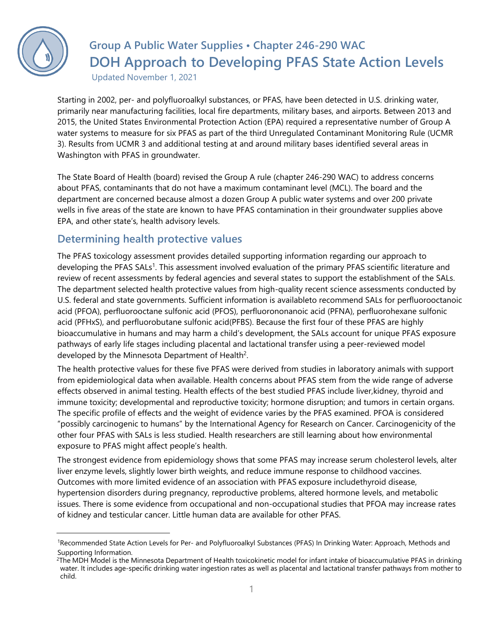

## **Group A Public Water Supplies • Chapter 246-290 WAC DOH Approach to Developing PFAS State Action Levels**

Updated November 1, 2021

Starting in 2002, per- and polyfluoroalkyl substances, or PFAS, have been detected in U.S. drinking water, primarily near manufacturing facilities, local fire departments, military bases, and airports. Between 2013 and 2015, the United States Environmental Protection Action (EPA) required a representative number of Group A water systems to measure for six PFAS as part of the third Unregulated Contaminant Monitoring Rule (UCMR 3). Results from UCMR 3 and additional testing at and around military bases identified several areas in Washington with PFAS in groundwater.

The State Board of Health (board) revised the Group A rule (chapter 246-290 WAC) to address concerns about PFAS, contaminants that do not have a maximum contaminant level (MCL). The board and the department are concerned because almost a dozen Group A public water systems and over 200 private wells in five areas of the state are known to have PFAS contamination in their groundwater supplies above EPA, and other state's, health advisory levels.

## **Determining health protective values**

The PFAS toxicology assessment provides detailed supporting information regarding our approach to developing the PFAS SALs<sup>[1](#page-0-0)</sup>. This assessment involved evaluation of the primary PFAS scientific literature and review of recent assessments by federal agencies and several states to support the establishment of the SALs. The department selected health protective values from high-quality recent science assessments conducted by U.S. federal and state governments. Sufficient information is availableto recommend SALs for perfluorooctanoic acid (PFOA), perfluorooctane sulfonic acid (PFOS), perfluorononanoic acid (PFNA), perfluorohexane sulfonic acid (PFHxS), and perfluorobutane sulfonic acid(PFBS). Because the first four of these PFAS are highly bioaccumulative in humans and may harm a child's development, the SALs account for unique PFAS exposure pathways of early life stages including placental and lactational transfer using a peer-reviewed model developed by t[h](#page-0-1)e Minnesota Department of Health<sup>2</sup>.

The health protective values for these five PFAS were derived from studies in laboratory animals with support from epidemiological data when available. Health concerns about PFAS stem from the wide range of adverse effects observed in animal testing. Health effects of the best studied PFAS include liver,kidney, thyroid and immune toxicity; developmental and reproductive toxicity; hormone disruption; and tumors in certain organs. The specific profile of effects and the weight of evidence varies by the PFAS examined. PFOA is considered "possibly carcinogenic to humans" by the International Agency for Research on Cancer. Carcinogenicity of the other four PFAS with SALs is less studied. Health researchers are still learning about how environmental exposure to PFAS might affect people's health.

The strongest evidence from epidemiology shows that some PFAS may increase serum cholesterol levels, alter liver enzyme levels, slightly lower birth weights, and reduce immune response to childhood vaccines. Outcomes with more limited evidence of an association with PFAS exposure includethyroid disease, hypertension disorders during pregnancy, reproductive problems, altered hormone levels, and metabolic issues. There is some evidence from occupational and non-occupational studies that PFOA may increase rates of kidney and testicular cancer. Little human data are available for other PFAS.

<span id="page-0-0"></span><sup>&</sup>lt;sup>1</sup>Recommended State Action Levels for Per- and Polyfluoroalkyl Substances (PFAS) In Drinking Water: Approach, Methods and Supporting Information.

<span id="page-0-1"></span><sup>&</sup>lt;sup>2</sup>The MDH Model is the Minnesota Department of Health toxicokinetic model for infant intake of bioaccumulative PFAS in drinking water. It includes age-specific drinking water ingestion rates as well as placental and lactational transfer pathways from mother to child.